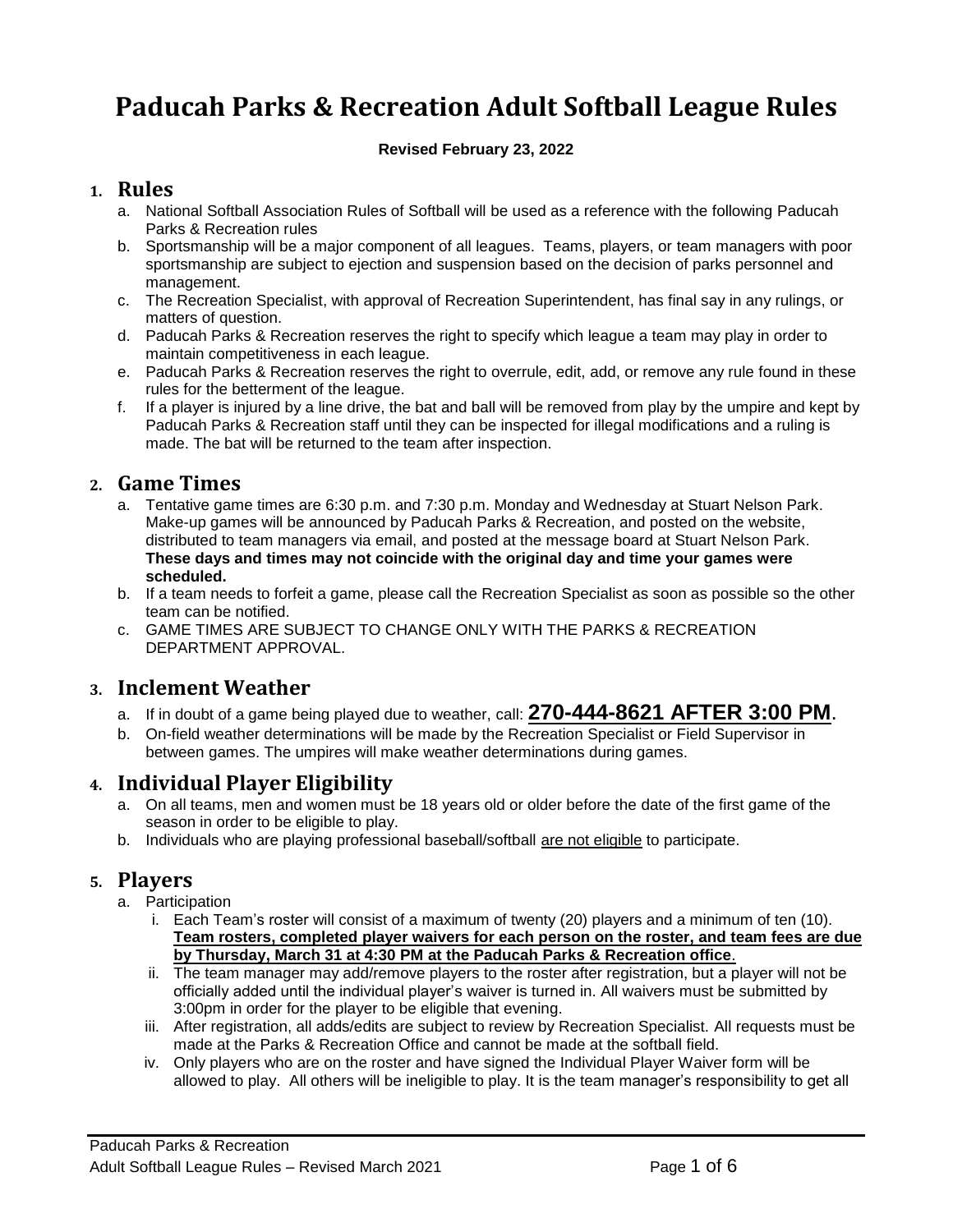# **Paducah Parks & Recreation Adult Softball League Rules**

#### **Revised February 23, 2022**

#### **1. Rules**

- a. National Softball Association Rules of Softball will be used as a reference with the following Paducah Parks & Recreation rules
- b. Sportsmanship will be a major component of all leagues. Teams, players, or team managers with poor sportsmanship are subject to ejection and suspension based on the decision of parks personnel and management.
- c. The Recreation Specialist, with approval of Recreation Superintendent, has final say in any rulings, or matters of question.
- d. Paducah Parks & Recreation reserves the right to specify which league a team may play in order to maintain competitiveness in each league.
- e. Paducah Parks & Recreation reserves the right to overrule, edit, add, or remove any rule found in these rules for the betterment of the league.
- f. If a player is injured by a line drive, the bat and ball will be removed from play by the umpire and kept by Paducah Parks & Recreation staff until they can be inspected for illegal modifications and a ruling is made. The bat will be returned to the team after inspection.

#### **2. Game Times**

- a. Tentative game times are 6:30 p.m. and 7:30 p.m. Monday and Wednesday at Stuart Nelson Park. Make-up games will be announced by Paducah Parks & Recreation, and posted on the website, distributed to team managers via email, and posted at the message board at Stuart Nelson Park. **These days and times may not coincide with the original day and time your games were scheduled.**
- b. If a team needs to forfeit a game, please call the Recreation Specialist as soon as possible so the other team can be notified.
- c. GAME TIMES ARE SUBJECT TO CHANGE ONLY WITH THE PARKS & RECREATION DEPARTMENT APPROVAL.

#### **3. Inclement Weather**

- a. If in doubt of a game being played due to weather, call: **270-444-8621 AFTER 3:00 PM**.
- b. On-field weather determinations will be made by the Recreation Specialist or Field Supervisor in between games. The umpires will make weather determinations during games.

# **4. Individual Player Eligibility**

- a. On all teams, men and women must be 18 years old or older before the date of the first game of the season in order to be eligible to play.
- b. Individuals who are playing professional baseball/softball are not eligible to participate.

#### **5. Players**

- a. Participation
	- i. Each Team's roster will consist of a maximum of twenty (20) players and a minimum of ten (10). **Team rosters, completed player waivers for each person on the roster, and team fees are due by Thursday, March 31 at 4:30 PM at the Paducah Parks & Recreation office**.
	- ii. The team manager may add/remove players to the roster after registration, but a player will not be officially added until the individual player's waiver is turned in. All waivers must be submitted by 3:00pm in order for the player to be eligible that evening.
	- iii. After registration, all adds/edits are subject to review by Recreation Specialist. All requests must be made at the Parks & Recreation Office and cannot be made at the softball field.
	- iv. Only players who are on the roster and have signed the Individual Player Waiver form will be allowed to play. All others will be ineligible to play. It is the team manager's responsibility to get all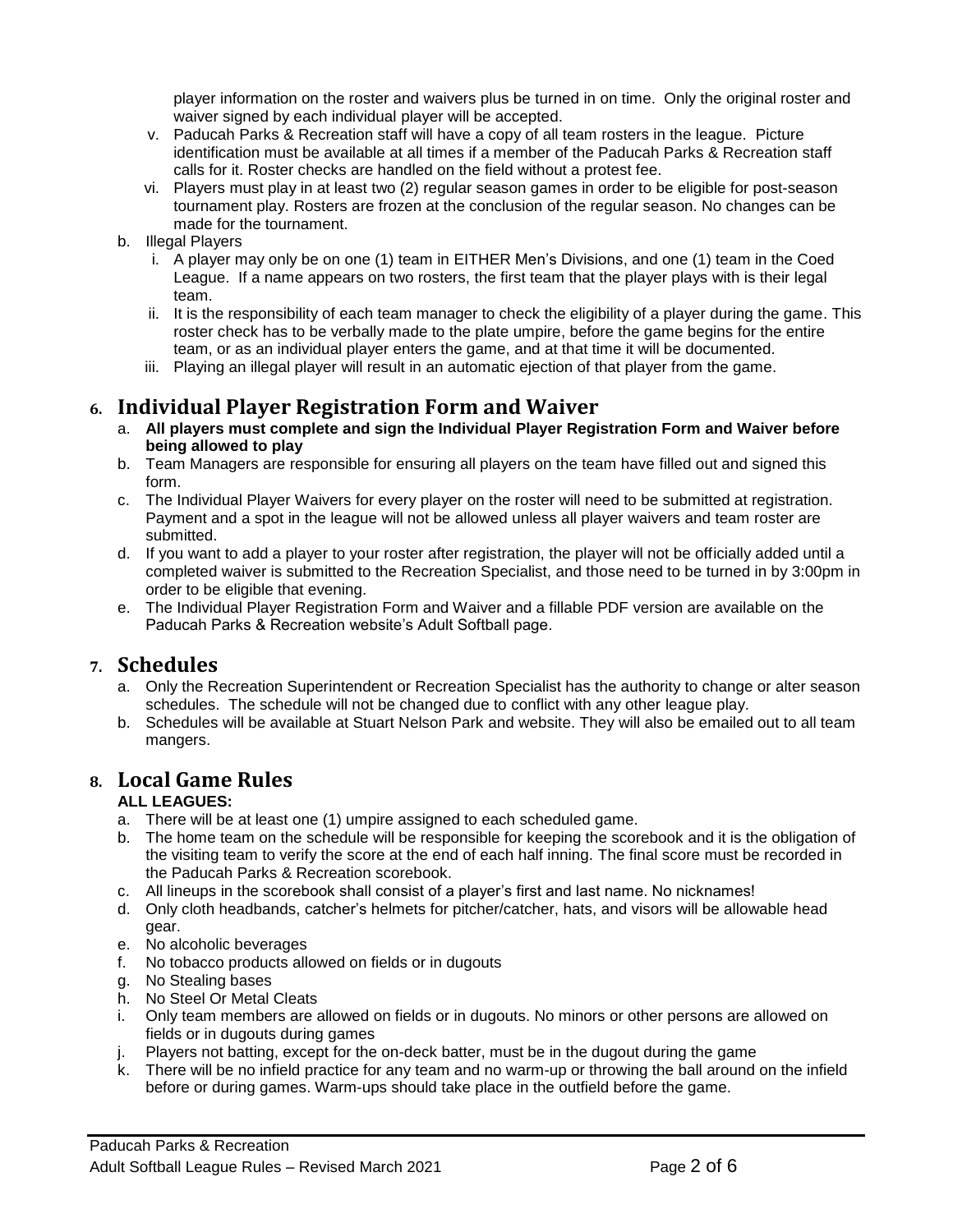player information on the roster and waivers plus be turned in on time. Only the original roster and waiver signed by each individual player will be accepted.

- v. Paducah Parks & Recreation staff will have a copy of all team rosters in the league. Picture identification must be available at all times if a member of the Paducah Parks & Recreation staff calls for it. Roster checks are handled on the field without a protest fee.
- vi. Players must play in at least two (2) regular season games in order to be eligible for post-season tournament play. Rosters are frozen at the conclusion of the regular season. No changes can be made for the tournament.
- b. Illegal Players
	- i. A player may only be on one (1) team in EITHER Men's Divisions, and one (1) team in the Coed League. If a name appears on two rosters, the first team that the player plays with is their legal team.
	- ii. It is the responsibility of each team manager to check the eligibility of a player during the game. This roster check has to be verbally made to the plate umpire, before the game begins for the entire team, or as an individual player enters the game, and at that time it will be documented.
	- iii. Playing an illegal player will result in an automatic ejection of that player from the game.

#### **6. Individual Player Registration Form and Waiver**

- a. **All players must complete and sign the Individual Player Registration Form and Waiver before being allowed to play**
- b. Team Managers are responsible for ensuring all players on the team have filled out and signed this form.
- c. The Individual Player Waivers for every player on the roster will need to be submitted at registration. Payment and a spot in the league will not be allowed unless all player waivers and team roster are submitted.
- d. If you want to add a player to your roster after registration, the player will not be officially added until a completed waiver is submitted to the Recreation Specialist, and those need to be turned in by 3:00pm in order to be eligible that evening.
- e. The Individual Player Registration Form and Waiver and a fillable PDF version are available on the Paducah Parks & Recreation website's Adult Softball page.

# **7. Schedules**

- a. Only the Recreation Superintendent or Recreation Specialist has the authority to change or alter season schedules. The schedule will not be changed due to conflict with any other league play.
- b. Schedules will be available at Stuart Nelson Park and website. They will also be emailed out to all team mangers.

#### **8. Local Game Rules**

#### **ALL LEAGUES:**

- a. There will be at least one (1) umpire assigned to each scheduled game.
- b. The home team on the schedule will be responsible for keeping the scorebook and it is the obligation of the visiting team to verify the score at the end of each half inning. The final score must be recorded in the Paducah Parks & Recreation scorebook.
- c. All lineups in the scorebook shall consist of a player's first and last name. No nicknames!
- d. Only cloth headbands, catcher's helmets for pitcher/catcher, hats, and visors will be allowable head gear.
- e. No alcoholic beverages
- f. No tobacco products allowed on fields or in dugouts
- g. No Stealing bases
- h. No Steel Or Metal Cleats
- i. Only team members are allowed on fields or in dugouts. No minors or other persons are allowed on fields or in dugouts during games
- j. Players not batting, except for the on-deck batter, must be in the dugout during the game
- k. There will be no infield practice for any team and no warm-up or throwing the ball around on the infield before or during games. Warm-ups should take place in the outfield before the game.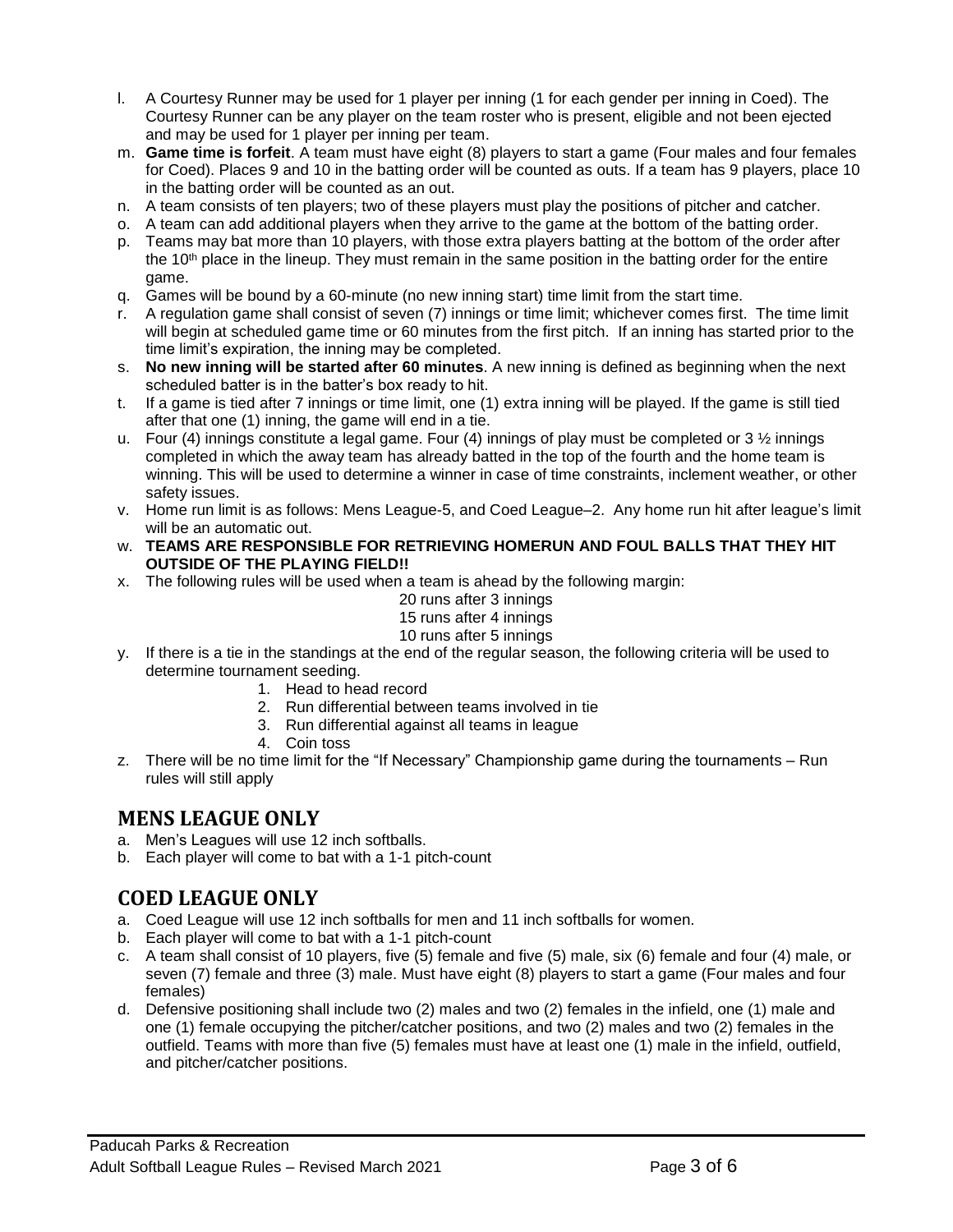- l. A Courtesy Runner may be used for 1 player per inning (1 for each gender per inning in Coed). The Courtesy Runner can be any player on the team roster who is present, eligible and not been ejected and may be used for 1 player per inning per team.
- m. **Game time is forfeit**. A team must have eight (8) players to start a game (Four males and four females for Coed). Places 9 and 10 in the batting order will be counted as outs. If a team has 9 players, place 10 in the batting order will be counted as an out.
- n. A team consists of ten players; two of these players must play the positions of pitcher and catcher.
- o. A team can add additional players when they arrive to the game at the bottom of the batting order.
- p. Teams may bat more than 10 players, with those extra players batting at the bottom of the order after the 10<sup>th</sup> place in the lineup. They must remain in the same position in the batting order for the entire game.
- q. Games will be bound by a 60-minute (no new inning start) time limit from the start time.
- r. A regulation game shall consist of seven (7) innings or time limit; whichever comes first. The time limit will begin at scheduled game time or 60 minutes from the first pitch. If an inning has started prior to the time limit's expiration, the inning may be completed.
- s. **No new inning will be started after 60 minutes**. A new inning is defined as beginning when the next scheduled batter is in the batter's box ready to hit.
- t. If a game is tied after 7 innings or time limit, one (1) extra inning will be played. If the game is still tied after that one (1) inning, the game will end in a tie.
- u. Four (4) innings constitute a legal game. Four (4) innings of play must be completed or  $3\frac{1}{2}$  innings completed in which the away team has already batted in the top of the fourth and the home team is winning. This will be used to determine a winner in case of time constraints, inclement weather, or other safety issues.
- v. Home run limit is as follows: Mens League-5, and Coed League–2. Any home run hit after league's limit will be an automatic out.
- w. **TEAMS ARE RESPONSIBLE FOR RETRIEVING HOMERUN AND FOUL BALLS THAT THEY HIT OUTSIDE OF THE PLAYING FIELD!!**
- x. The following rules will be used when a team is ahead by the following margin:
	- 20 runs after 3 innings
	- 15 runs after 4 innings

#### 10 runs after 5 innings

- y. If there is a tie in the standings at the end of the regular season, the following criteria will be used to determine tournament seeding.
	- 1. Head to head record
	- 2. Run differential between teams involved in tie
	- 3. Run differential against all teams in league
	- 4. Coin toss
- z. There will be no time limit for the "If Necessary" Championship game during the tournaments Run rules will still apply

#### **MENS LEAGUE ONLY**

- a. Men's Leagues will use 12 inch softballs.
- b. Each player will come to bat with a 1-1 pitch-count

# **COED LEAGUE ONLY**

- a. Coed League will use 12 inch softballs for men and 11 inch softballs for women.
- b. Each player will come to bat with a 1-1 pitch-count
- c. A team shall consist of 10 players, five (5) female and five (5) male, six (6) female and four (4) male, or seven (7) female and three (3) male. Must have eight (8) players to start a game (Four males and four females)
- d. Defensive positioning shall include two (2) males and two (2) females in the infield, one (1) male and one (1) female occupying the pitcher/catcher positions, and two (2) males and two (2) females in the outfield. Teams with more than five (5) females must have at least one (1) male in the infield, outfield, and pitcher/catcher positions.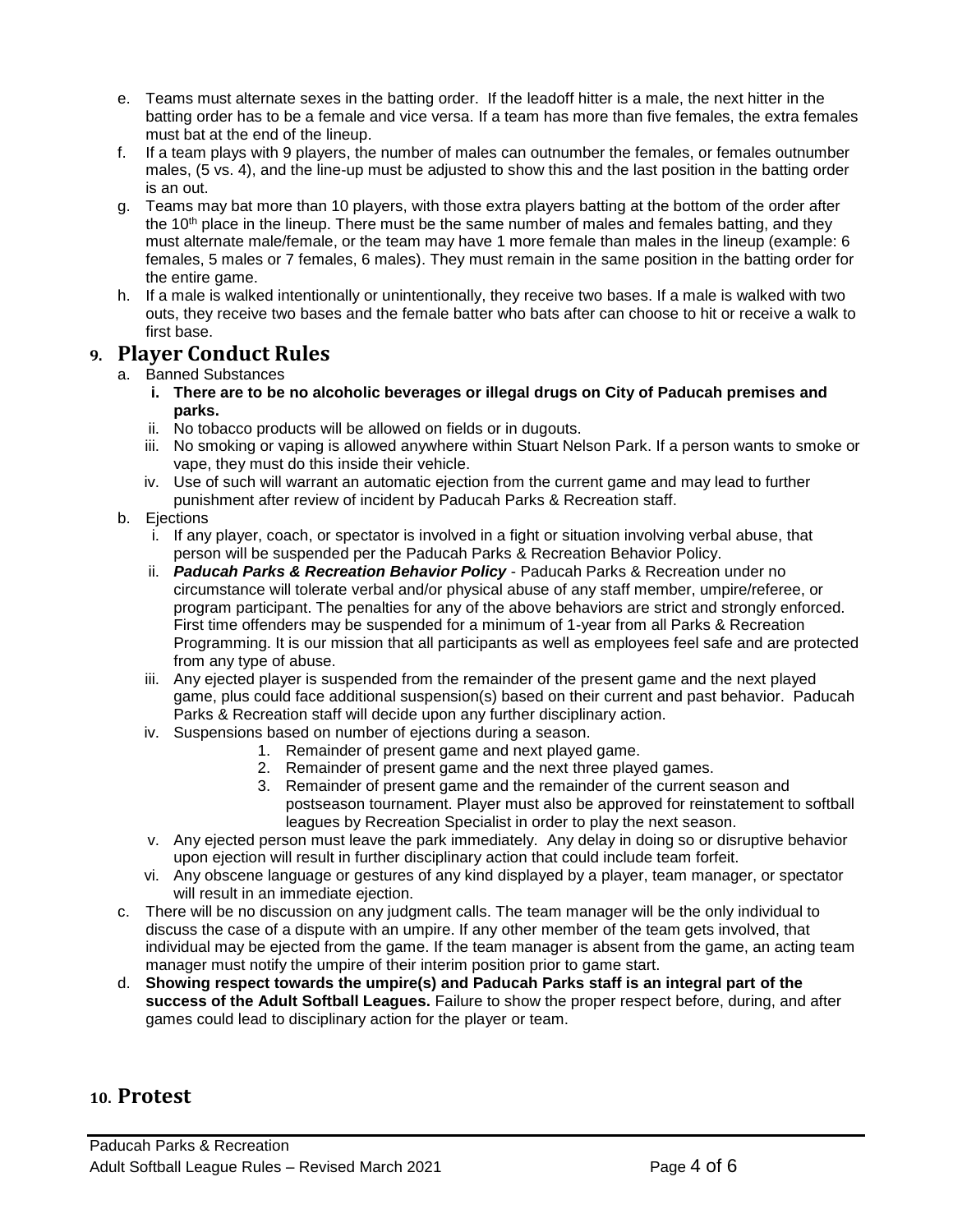- e. Teams must alternate sexes in the batting order. If the leadoff hitter is a male, the next hitter in the batting order has to be a female and vice versa. If a team has more than five females, the extra females must bat at the end of the lineup.
- f. If a team plays with 9 players, the number of males can outnumber the females, or females outnumber males, (5 vs. 4), and the line-up must be adjusted to show this and the last position in the batting order is an out.
- g. Teams may bat more than 10 players, with those extra players batting at the bottom of the order after the 10<sup>th</sup> place in the lineup. There must be the same number of males and females batting, and they must alternate male/female, or the team may have 1 more female than males in the lineup (example: 6 females, 5 males or 7 females, 6 males). They must remain in the same position in the batting order for the entire game.
- h. If a male is walked intentionally or unintentionally, they receive two bases. If a male is walked with two outs, they receive two bases and the female batter who bats after can choose to hit or receive a walk to first base.

#### **9. Player Conduct Rules**

- a. Banned Substances
	- **i. There are to be no alcoholic beverages or illegal drugs on City of Paducah premises and parks.**
	- ii. No tobacco products will be allowed on fields or in dugouts.
	- iii. No smoking or vaping is allowed anywhere within Stuart Nelson Park. If a person wants to smoke or vape, they must do this inside their vehicle.
	- iv. Use of such will warrant an automatic ejection from the current game and may lead to further punishment after review of incident by Paducah Parks & Recreation staff.
- b. Ejections
	- i. If any player, coach, or spectator is involved in a fight or situation involving verbal abuse, that person will be suspended per the Paducah Parks & Recreation Behavior Policy.
	- ii. *Paducah Parks & Recreation Behavior Policy* Paducah Parks & Recreation under no circumstance will tolerate verbal and/or physical abuse of any staff member, umpire/referee, or program participant. The penalties for any of the above behaviors are strict and strongly enforced. First time offenders may be suspended for a minimum of 1-year from all Parks & Recreation Programming. It is our mission that all participants as well as employees feel safe and are protected from any type of abuse.
	- iii. Any ejected player is suspended from the remainder of the present game and the next played game, plus could face additional suspension(s) based on their current and past behavior. Paducah Parks & Recreation staff will decide upon any further disciplinary action.
	- iv. Suspensions based on number of ejections during a season.
		- 1. Remainder of present game and next played game.
		- 2. Remainder of present game and the next three played games.
		- 3. Remainder of present game and the remainder of the current season and postseason tournament. Player must also be approved for reinstatement to softball leagues by Recreation Specialist in order to play the next season.
	- v. Any ejected person must leave the park immediately. Any delay in doing so or disruptive behavior upon ejection will result in further disciplinary action that could include team forfeit.
	- vi. Any obscene language or gestures of any kind displayed by a player, team manager, or spectator will result in an immediate ejection.
- c. There will be no discussion on any judgment calls. The team manager will be the only individual to discuss the case of a dispute with an umpire. If any other member of the team gets involved, that individual may be ejected from the game. If the team manager is absent from the game, an acting team manager must notify the umpire of their interim position prior to game start.
- d. **Showing respect towards the umpire(s) and Paducah Parks staff is an integral part of the success of the Adult Softball Leagues.** Failure to show the proper respect before, during, and after games could lead to disciplinary action for the player or team.

# **10. Protest**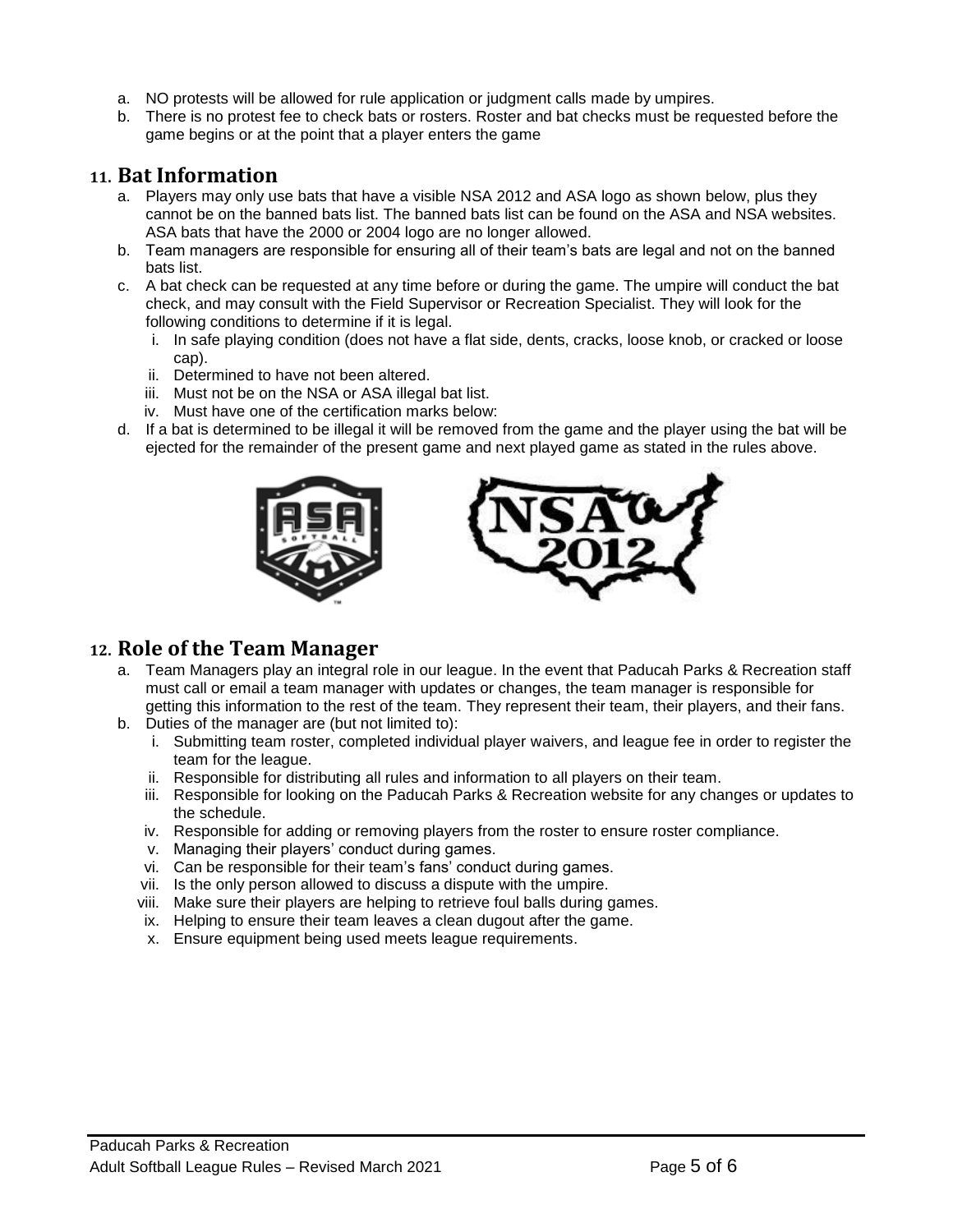- a. NO protests will be allowed for rule application or judgment calls made by umpires.
- b. There is no protest fee to check bats or rosters. Roster and bat checks must be requested before the game begins or at the point that a player enters the game

### **11. Bat Information**

- a. Players may only use bats that have a visible NSA 2012 and ASA logo as shown below, plus they cannot be on the banned bats list. The banned bats list can be found on the ASA and NSA websites. ASA bats that have the 2000 or 2004 logo are no longer allowed.
- b. Team managers are responsible for ensuring all of their team's bats are legal and not on the banned bats list.
- c. A bat check can be requested at any time before or during the game. The umpire will conduct the bat check, and may consult with the Field Supervisor or Recreation Specialist. They will look for the following conditions to determine if it is legal.
	- i. In safe playing condition (does not have a flat side, dents, cracks, loose knob, or cracked or loose cap).
	- ii. Determined to have not been altered.
	- iii. Must not be on the NSA or ASA illegal bat list.
	- iv. Must have one of the certification marks below:
- d. If a bat is determined to be illegal it will be removed from the game and the player using the bat will be ejected for the remainder of the present game and next played game as stated in the rules above.





# **12. Role of the Team Manager**

- a. Team Managers play an integral role in our league. In the event that Paducah Parks & Recreation staff must call or email a team manager with updates or changes, the team manager is responsible for getting this information to the rest of the team. They represent their team, their players, and their fans.
- b. Duties of the manager are (but not limited to):
	- i. Submitting team roster, completed individual player waivers, and league fee in order to register the team for the league.
	- ii. Responsible for distributing all rules and information to all players on their team.
	- iii. Responsible for looking on the Paducah Parks & Recreation website for any changes or updates to the schedule.
	- iv. Responsible for adding or removing players from the roster to ensure roster compliance.
	- v. Managing their players' conduct during games.
	- vi. Can be responsible for their team's fans' conduct during games.
	- vii. Is the only person allowed to discuss a dispute with the umpire.
	- viii. Make sure their players are helping to retrieve foul balls during games.
	- ix. Helping to ensure their team leaves a clean dugout after the game.
	- x. Ensure equipment being used meets league requirements.